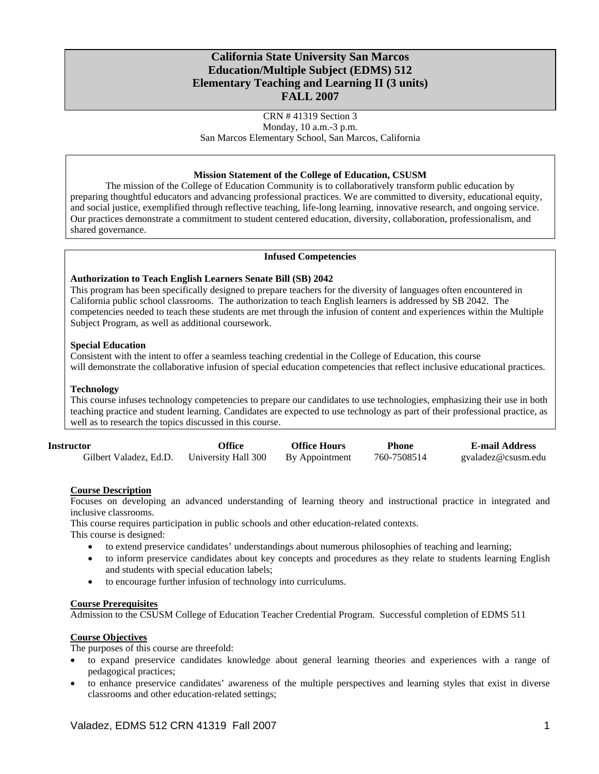# **California State University San Marcos Education/Multiple Subject (EDMS) 512 Elementary Teaching and Learning II (3 units) FALL 2007**

CRN # 41319 Section 3 Monday, 10 a.m.-3 p.m. San Marcos Elementary School, San Marcos, California

### **Mission Statement of the College of Education, CSUSM**

The mission of the College of Education Community is to collaboratively transform public education by preparing thoughtful educators and advancing professional practices. We are committed to diversity, educational equity, and social justice, exemplified through reflective teaching, life-long learning, innovative research, and ongoing service. Our practices demonstrate a commitment to student centered education, diversity, collaboration, professionalism, and shared governance.

## **Infused Competencies**

### **Authorization to Teach English Learners Senate Bill (SB) 2042**

This program has been specifically designed to prepare teachers for the diversity of languages often encountered in California public school classrooms. The authorization to teach English learners is addressed by SB 2042. The competencies needed to teach these students are met through the infusion of content and experiences within the Multiple Subject Program, as well as additional coursework.

### **Special Education**

Consistent with the intent to offer a seamless teaching credential in the College of Education, this course will demonstrate the collaborative infusion of special education competencies that reflect inclusive educational practices.

### **Technology**

This course infuses technology competencies to prepare our candidates to use technologies, emphasizing their use in both teaching practice and student learning. Candidates are expected to use technology as part of their professional practice, as well as to research the topics discussed in this course.

| Instructor             | Office              | <b>Office Hours</b> | <b>Phone</b> | <b>E-mail Address</b> |
|------------------------|---------------------|---------------------|--------------|-----------------------|
| Gilbert Valadez, Ed.D. | University Hall 300 | By Appointment      | 760-7508514  | gvaladez@csusm.edu    |

# **Course Description**

Focuses on developing an advanced understanding of learning theory and instructional practice in integrated and inclusive classrooms.

This course requires participation in public schools and other education-related contexts.

This course is designed:

- to extend preservice candidates' understandings about numerous philosophies of teaching and learning;
- to inform preservice candidates about key concepts and procedures as they relate to students learning English and students with special education labels;
- to encourage further infusion of technology into curriculums.

### **Course Prerequisites**

Admission to the CSUSM College of Education Teacher Credential Program. Successful completion of EDMS 511

# **Course Objectives**

The purposes of this course are threefold:

- to expand preservice candidates knowledge about general learning theories and experiences with a range of pedagogical practices;
- to enhance preservice candidates' awareness of the multiple perspectives and learning styles that exist in diverse classrooms and other education-related settings;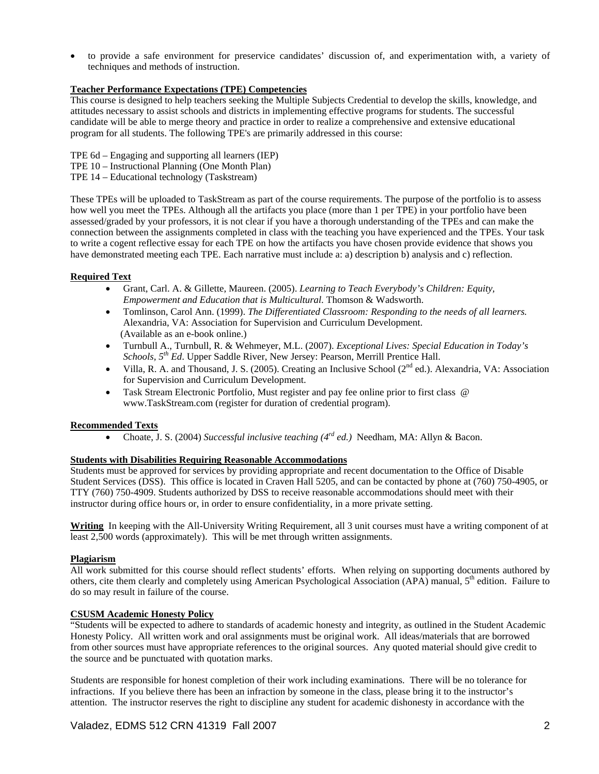• to provide a safe environment for preservice candidates' discussion of, and experimentation with, a variety of techniques and methods of instruction.

# **Teacher Performance Expectations (TPE) Competencies**

This course is designed to help teachers seeking the Multiple Subjects Credential to develop the skills, knowledge, and attitudes necessary to assist schools and districts in implementing effective programs for students. The successful candidate will be able to merge theory and practice in order to realize a comprehensive and extensive educational program for all students. The following TPE's are primarily addressed in this course:

- TPE 6d Engaging and supporting all learners (IEP)
- TPE 10 Instructional Planning (One Month Plan)
- TPE 14 Educational technology (Taskstream)

These TPEs will be uploaded to TaskStream as part of the course requirements. The purpose of the portfolio is to assess how well you meet the TPEs. Although all the artifacts you place (more than 1 per TPE) in your portfolio have been assessed/graded by your professors, it is not clear if you have a thorough understanding of the TPEs and can make the connection between the assignments completed in class with the teaching you have experienced and the TPEs. Your task to write a cogent reflective essay for each TPE on how the artifacts you have chosen provide evidence that shows you have demonstrated meeting each TPE. Each narrative must include a: a) description b) analysis and c) reflection.

# **Required Text**

- Grant, Carl. A. & Gillette, Maureen. (2005). *Learning to Teach Everybody's Children: Equity, Empowerment and Education that is Multicultural.* Thomson & Wadsworth.
- Tomlinson, Carol Ann. (1999). *The Differentiated Classroom: Responding to the needs of all learners.*  Alexandria, VA: Association for Supervision and Curriculum Development. (Available as an e-book online.)
- Turnbull A., Turnbull, R. & Wehmeyer, M.L. (2007). *Exceptional Lives: Special Education in Today's Schools, 5th Ed*. Upper Saddle River, New Jersey: Pearson, Merrill Prentice Hall.
- Villa, R. A. and Thousand, J. S. (2005). Creating an Inclusive School ( $2<sup>nd</sup>$  ed.). Alexandria, VA: Association for Supervision and Curriculum Development.
- Task Stream Electronic Portfolio, Must register and pay fee online prior to first class @ www.TaskStream.com (register for duration of credential program).

# **Recommended Texts**

• Choate, J. S. (2004) *Successful inclusive teaching (4rd ed.)* Needham, MA: Allyn & Bacon.

# **Students with Disabilities Requiring Reasonable Accommodations**

Students must be approved for services by providing appropriate and recent documentation to the Office of Disable Student Services (DSS). This office is located in Craven Hall 5205, and can be contacted by phone at (760) 750-4905, or TTY (760) 750-4909. Students authorized by DSS to receive reasonable accommodations should meet with their instructor during office hours or, in order to ensure confidentiality, in a more private setting.

**Writing** In keeping with the All-University Writing Requirement, all 3 unit courses must have a writing component of at least 2,500 words (approximately). This will be met through written assignments.

# **Plagiarism**

All work submitted for this course should reflect students' efforts. When relying on supporting documents authored by others, cite them clearly and completely using American Psychological Association (APA) manual, 5<sup>th</sup> edition. Failure to do so may result in failure of the course.

# **CSUSM Academic Honesty Policy**

"Students will be expected to adhere to standards of academic honesty and integrity, as outlined in the Student Academic Honesty Policy. All written work and oral assignments must be original work. All ideas/materials that are borrowed from other sources must have appropriate references to the original sources. Any quoted material should give credit to the source and be punctuated with quotation marks.

Students are responsible for honest completion of their work including examinations. There will be no tolerance for infractions. If you believe there has been an infraction by someone in the class, please bring it to the instructor's attention. The instructor reserves the right to discipline any student for academic dishonesty in accordance with the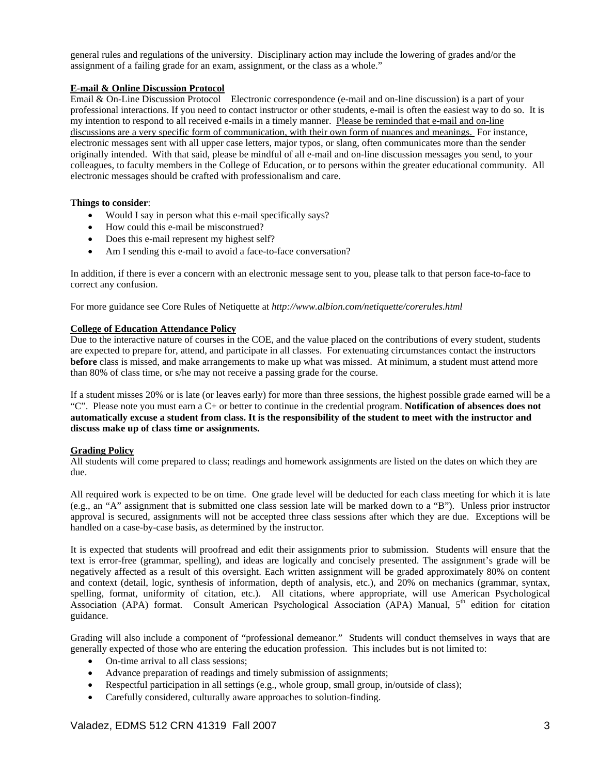general rules and regulations of the university. Disciplinary action may include the lowering of grades and/or the assignment of a failing grade for an exam, assignment, or the class as a whole."

# **E-mail & Online Discussion Protocol**

Email & On-Line Discussion Protocol Electronic correspondence (e-mail and on-line discussion) is a part of your professional interactions. If you need to contact instructor or other students, e-mail is often the easiest way to do so. It is my intention to respond to all received e-mails in a timely manner. Please be reminded that e-mail and on-line discussions are a very specific form of communication, with their own form of nuances and meanings. For instance, electronic messages sent with all upper case letters, major typos, or slang, often communicates more than the sender originally intended. With that said, please be mindful of all e-mail and on-line discussion messages you send, to your colleagues, to faculty members in the College of Education, or to persons within the greater educational community. All electronic messages should be crafted with professionalism and care.

# **Things to consider**:

- Would I say in person what this e-mail specifically says?
- How could this e-mail be misconstrued?
- Does this e-mail represent my highest self?
- Am I sending this e-mail to avoid a face-to-face conversation?

In addition, if there is ever a concern with an electronic message sent to you, please talk to that person face-to-face to correct any confusion.

For more guidance see Core Rules of Netiquette at *http://www.albion.com/netiquette/corerules.html* 

# **College of Education Attendance Policy**

Due to the interactive nature of courses in the COE, and the value placed on the contributions of every student, students are expected to prepare for, attend, and participate in all classes. For extenuating circumstances contact the instructors **before** class is missed, and make arrangements to make up what was missed. At minimum, a student must attend more than 80% of class time, or s/he may not receive a passing grade for the course.

If a student misses 20% or is late (or leaves early) for more than three sessions, the highest possible grade earned will be a "C". Please note you must earn a C+ or better to continue in the credential program. **Notification of absences does not automatically excuse a student from class. It is the responsibility of the student to meet with the instructor and discuss make up of class time or assignments.** 

# **Grading Policy**

All students will come prepared to class; readings and homework assignments are listed on the dates on which they are due.

All required work is expected to be on time. One grade level will be deducted for each class meeting for which it is late (e.g., an "A" assignment that is submitted one class session late will be marked down to a "B"). Unless prior instructor approval is secured, assignments will not be accepted three class sessions after which they are due. Exceptions will be handled on a case-by-case basis, as determined by the instructor.

It is expected that students will proofread and edit their assignments prior to submission. Students will ensure that the text is error-free (grammar, spelling), and ideas are logically and concisely presented. The assignment's grade will be negatively affected as a result of this oversight. Each written assignment will be graded approximately 80% on content and context (detail, logic, synthesis of information, depth of analysis, etc.), and 20% on mechanics (grammar, syntax, spelling, format, uniformity of citation, etc.). All citations, where appropriate, will use American Psychological Association (APA) format. Consult American Psychological Association (APA) Manual, 5<sup>th</sup> edition for citation guidance.

Grading will also include a component of "professional demeanor." Students will conduct themselves in ways that are generally expected of those who are entering the education profession. This includes but is not limited to:

- On-time arrival to all class sessions;
- Advance preparation of readings and timely submission of assignments;
- Respectful participation in all settings (e.g., whole group, small group, in/outside of class);
- Carefully considered, culturally aware approaches to solution-finding.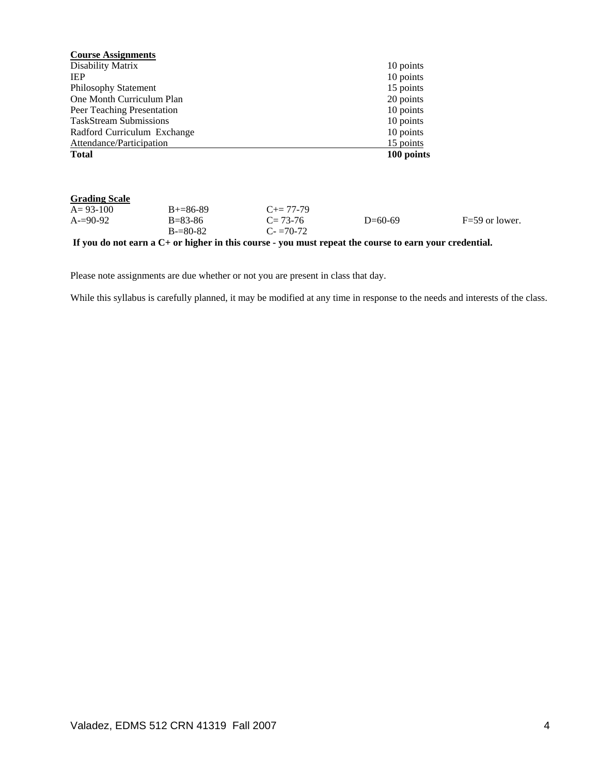| <b>Course Assignments</b>     |                                |                            |            |                  |
|-------------------------------|--------------------------------|----------------------------|------------|------------------|
| Disability Matrix             |                                |                            | 10 points  |                  |
| <b>IEP</b>                    |                                |                            | 10 points  |                  |
| <b>Philosophy Statement</b>   |                                |                            | 15 points  |                  |
| One Month Curriculum Plan     |                                |                            | 20 points  |                  |
| Peer Teaching Presentation    |                                |                            | 10 points  |                  |
| <b>TaskStream Submissions</b> |                                |                            | 10 points  |                  |
| Radford Curriculum Exchange   |                                |                            | 10 points  |                  |
| Attendance/Participation      |                                |                            | 15 points  |                  |
| <b>Total</b>                  |                                |                            | 100 points |                  |
| <b>Grading Scale</b>          |                                |                            |            |                  |
| $A = 93 - 100$                | $B+=86-89$                     | $C_{\pm} = 77 - 79$        |            |                  |
| $A=90-92$                     | $B = 83 - 86$<br>$B = 80 - 82$ | $C = 73-76$<br>$C = 70-72$ | $D=60-69$  | $F=59$ or lower. |

**If you do not earn a C+ or higher in this course - you must repeat the course to earn your credential.** 

Please note assignments are due whether or not you are present in class that day.

While this syllabus is carefully planned, it may be modified at any time in response to the needs and interests of the class.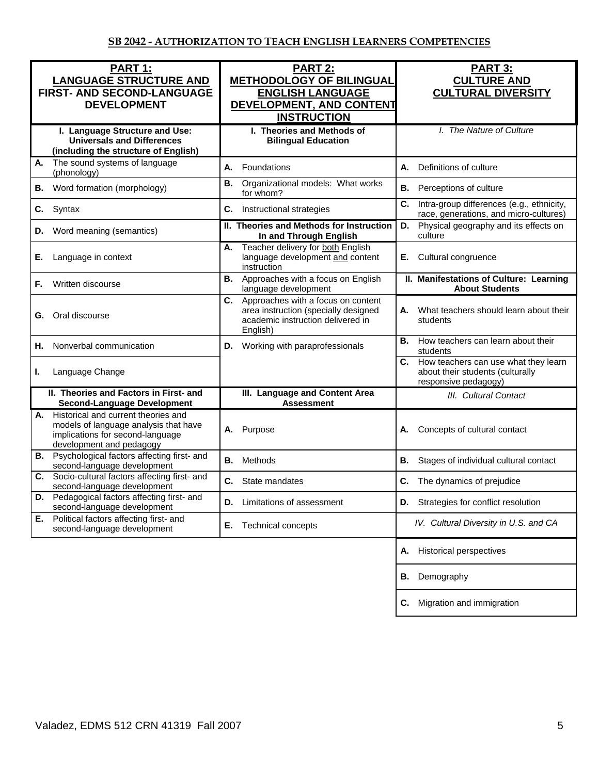| PART 1:<br><b>LANGUAGE STRUCTURE AND</b><br>FIRST- AND SECOND-LANGUAGE<br><b>DEVELOPMENT</b>                                                       | <b>PART 2:</b><br><b>METHODOLOGY OF BILINGUAL</b><br><b>ENGLISH LANGUAGE</b><br>DEVELOPMENT, AND CONTENT<br><b>INSTRUCTION</b>    | <b>PART 3:</b><br><b>CULTURE AND</b><br><b>CULTURAL DIVERSITY</b>                                   |
|----------------------------------------------------------------------------------------------------------------------------------------------------|-----------------------------------------------------------------------------------------------------------------------------------|-----------------------------------------------------------------------------------------------------|
| I. Language Structure and Use:<br><b>Universals and Differences</b><br>(including the structure of English)                                        | I. Theories and Methods of<br><b>Bilingual Education</b>                                                                          | I. The Nature of Culture                                                                            |
| The sound systems of language<br>А.<br>(phonology)                                                                                                 | А.<br>Foundations                                                                                                                 | <b>A.</b><br>Definitions of culture                                                                 |
| Word formation (morphology)<br>В.                                                                                                                  | Organizational models: What works<br>В.<br>for whom?                                                                              | <b>B.</b><br>Perceptions of culture                                                                 |
| Syntax<br>C.                                                                                                                                       | C.<br>Instructional strategies                                                                                                    | C.<br>Intra-group differences (e.g., ethnicity,<br>race, generations, and micro-cultures)           |
| Word meaning (semantics)<br>D.                                                                                                                     | II. Theories and Methods for Instruction<br>In and Through English                                                                | Physical geography and its effects on<br>D.<br>culture                                              |
| Language in context<br>Е.                                                                                                                          | Teacher delivery for both English<br>А.<br>language development and content<br>instruction                                        | Cultural congruence<br>Е.                                                                           |
| Written discourse<br>F.                                                                                                                            | Approaches with a focus on English<br>В.<br>language development                                                                  | II. Manifestations of Culture: Learning<br><b>About Students</b>                                    |
| Oral discourse<br>G.                                                                                                                               | C.<br>Approaches with a focus on content<br>area instruction (specially designed<br>academic instruction delivered in<br>English) | What teachers should learn about their<br>А.<br>students                                            |
| Nonverbal communication<br>Η.                                                                                                                      | Working with paraprofessionals<br>D.                                                                                              | How teachers can learn about their<br>В.<br>students                                                |
| Language Change<br>ı.                                                                                                                              |                                                                                                                                   | C. How teachers can use what they learn<br>about their students (culturally<br>responsive pedagogy) |
| II. Theories and Factors in First- and<br><b>Second-Language Development</b>                                                                       | III. Language and Content Area<br><b>Assessment</b>                                                                               | III. Cultural Contact                                                                               |
| Historical and current theories and<br>А.<br>models of language analysis that have<br>implications for second-language<br>development and pedagogy | A. Purpose                                                                                                                        | Concepts of cultural contact<br>А.                                                                  |
| <b>B.</b> Psychological factors affecting first- and<br>second-language development                                                                | Methods<br>В.                                                                                                                     | <b>B.</b><br>Stages of individual cultural contact                                                  |
| Socio-cultural factors affecting first- and<br>C.<br>second-language development                                                                   | С.<br>State mandates                                                                                                              | C.<br>The dynamics of prejudice                                                                     |
| Pedagogical factors affecting first- and<br>second-language development                                                                            | Limitations of assessment<br>D.                                                                                                   | D. Strategies for conflict resolution                                                               |
| Political factors affecting first- and<br>Е.<br>second-language development                                                                        | Technical concepts<br>Е.                                                                                                          | IV. Cultural Diversity in U.S. and CA                                                               |
|                                                                                                                                                    |                                                                                                                                   | <b>Historical perspectives</b><br>А.                                                                |
|                                                                                                                                                    |                                                                                                                                   | Demography<br>В.                                                                                    |
|                                                                                                                                                    |                                                                                                                                   | Migration and immigration<br>C.                                                                     |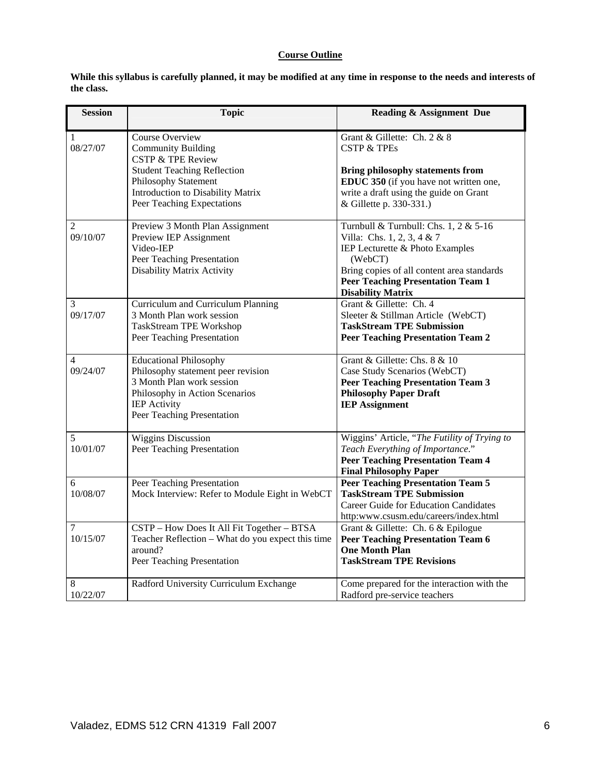# **Course Outline**

| While this syllabus is carefully planned, it may be modified at any time in response to the needs and interests of |  |
|--------------------------------------------------------------------------------------------------------------------|--|
| the class.                                                                                                         |  |

| <b>Session</b>             | <b>Topic</b>                                                                                                                                                                                                  | <b>Reading &amp; Assignment Due</b>                                                                                                                                                                                                     |
|----------------------------|---------------------------------------------------------------------------------------------------------------------------------------------------------------------------------------------------------------|-----------------------------------------------------------------------------------------------------------------------------------------------------------------------------------------------------------------------------------------|
| 1<br>08/27/07              | Course Overview<br><b>Community Building</b><br><b>CSTP &amp; TPE Review</b><br><b>Student Teaching Reflection</b><br>Philosophy Statement<br>Introduction to Disability Matrix<br>Peer Teaching Expectations | Grant & Gillette: Ch. 2 & 8<br><b>CSTP &amp; TPEs</b><br><b>Bring philosophy statements from</b><br>EDUC 350 (if you have not written one,<br>write a draft using the guide on Grant<br>& Gillette p. 330-331.)                         |
| $\overline{2}$<br>09/10/07 | Preview 3 Month Plan Assignment<br>Preview IEP Assignment<br>Video-IEP<br>Peer Teaching Presentation<br><b>Disability Matrix Activity</b>                                                                     | Turnbull & Turnbull: Chs. 1, 2 & 5-16<br>Villa: Chs. 1, 2, 3, 4 & 7<br>IEP Lecturette & Photo Examples<br>(WebCT)<br>Bring copies of all content area standards<br><b>Peer Teaching Presentation Team 1</b><br><b>Disability Matrix</b> |
| 3<br>09/17/07              | Curriculum and Curriculum Planning<br>3 Month Plan work session<br><b>TaskStream TPE Workshop</b><br>Peer Teaching Presentation                                                                               | Grant & Gillette: Ch. 4<br>Sleeter & Stillman Article (WebCT)<br><b>TaskStream TPE Submission</b><br><b>Peer Teaching Presentation Team 2</b>                                                                                           |
| 4<br>09/24/07              | <b>Educational Philosophy</b><br>Philosophy statement peer revision<br>3 Month Plan work session<br>Philosophy in Action Scenarios<br><b>IEP</b> Activity<br>Peer Teaching Presentation                       | Grant & Gillette: Chs. 8 & 10<br>Case Study Scenarios (WebCT)<br><b>Peer Teaching Presentation Team 3</b><br><b>Philosophy Paper Draft</b><br><b>IEP Assignment</b>                                                                     |
| $\sqrt{5}$<br>10/01/07     | <b>Wiggins Discussion</b><br>Peer Teaching Presentation                                                                                                                                                       | Wiggins' Article, "The Futility of Trying to<br>Teach Everything of Importance."<br><b>Peer Teaching Presentation Team 4</b><br><b>Final Philosophy Paper</b>                                                                           |
| 6<br>10/08/07              | Peer Teaching Presentation<br>Mock Interview: Refer to Module Eight in WebCT                                                                                                                                  | <b>Peer Teaching Presentation Team 5</b><br><b>TaskStream TPE Submission</b><br><b>Career Guide for Education Candidates</b><br>http:www.csusm.edu/careers/index.html                                                                   |
| 7<br>10/15/07              | CSTP - How Does It All Fit Together - BTSA<br>Teacher Reflection - What do you expect this time<br>around?<br>Peer Teaching Presentation                                                                      | Grant & Gillette: Ch. 6 & Epilogue<br><b>Peer Teaching Presentation Team 6</b><br><b>One Month Plan</b><br><b>TaskStream TPE Revisions</b>                                                                                              |
| 8<br>10/22/07              | Radford University Curriculum Exchange                                                                                                                                                                        | Come prepared for the interaction with the<br>Radford pre-service teachers                                                                                                                                                              |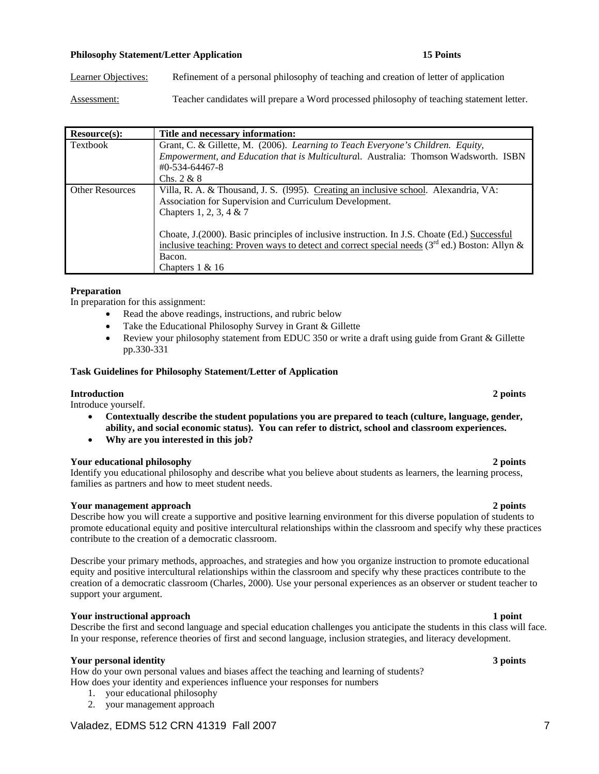# **Philosophy Statement/Letter Application 15 Points 15 Points**

Learner Objectives: Refinement of a personal philosophy of teaching and creation of letter of application

Assessment: Teacher candidates will prepare a Word processed philosophy of teaching statement letter.

| Resource(s):           | Title and necessary information:                                                                 |
|------------------------|--------------------------------------------------------------------------------------------------|
| Textbook               | Grant, C. & Gillette, M. (2006). Learning to Teach Everyone's Children. Equity,                  |
|                        | Empowerment, and Education that is Multicultural. Australia: Thomson Wadsworth. ISBN             |
|                        | $\text{\#}0$ -534-64467-8                                                                        |
|                        | Chs. $2 & 8$                                                                                     |
| <b>Other Resources</b> | Villa, R. A. & Thousand, J. S. (1995). Creating an inclusive school. Alexandria, VA:             |
|                        | Association for Supervision and Curriculum Development.                                          |
|                        | Chapters 1, 2, 3, 4 & 7                                                                          |
|                        |                                                                                                  |
|                        | Choate, J. (2000). Basic principles of inclusive instruction. In J.S. Choate (Ed.) Successful    |
|                        | inclusive teaching: Proven ways to detect and correct special needs ( $3rd$ ed.) Boston: Allyn & |
|                        | Bacon.                                                                                           |
|                        | Chapters $1 \& 16$                                                                               |

### **Preparation**

In preparation for this assignment:

- Read the above readings, instructions, and rubric below
- Take the Educational Philosophy Survey in Grant & Gillette
- Review your philosophy statement from EDUC 350 or write a draft using guide from Grant & Gillette pp.330-331

### **Task Guidelines for Philosophy Statement/Letter of Application**

### **Introduction 2 points**

Introduce yourself.

- **Contextually describe the student populations you are prepared to teach (culture, language, gender, ability, and social economic status). You can refer to district, school and classroom experiences.**
- **Why are you interested in this job?**

### **Your educational philosophy 2 points**

Identify you educational philosophy and describe what you believe about students as learners, the learning process, families as partners and how to meet student needs.

# **Your management approach 2 points**

Describe how you will create a supportive and positive learning environment for this diverse population of students to promote educational equity and positive intercultural relationships within the classroom and specify why these practices contribute to the creation of a democratic classroom.

Describe your primary methods, approaches, and strategies and how you organize instruction to promote educational equity and positive intercultural relationships within the classroom and specify why these practices contribute to the creation of a democratic classroom (Charles, 2000). Use your personal experiences as an observer or student teacher to support your argument.

### **Your instructional approach 1 point 1 point 1 point 1 point 1 point 1 point 1 point 1 point 1 point 1 point 1 point 1 point 1 point 1 point 1 point 1 point 1 point 1 point 1 point 1 point 1 point 1 point 1 point 1 point 1**

Describe the first and second language and special education challenges you anticipate the students in this class will face. In your response, reference theories of first and second language, inclusion strategies, and literacy development.

# **Your personal identity 3 points**

How do your own personal values and biases affect the teaching and learning of students? How does your identity and experiences influence your responses for numbers

- 1. your educational philosophy
- 2. your management approach

# Valadez, EDMS 512 CRN 41319 Fall 2007 7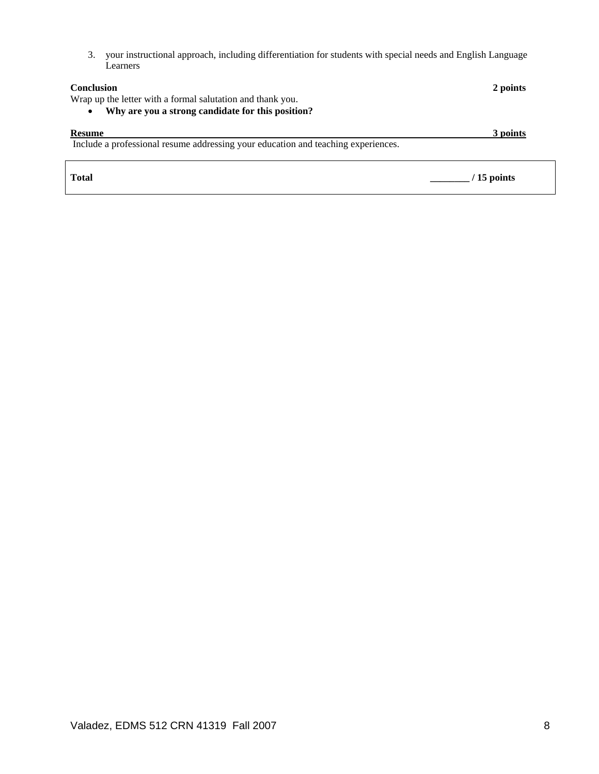3. your instructional approach, including differentiation for students with special needs and English Language Learners

| <b>Conclusion</b><br>Wrap up the letter with a formal salutation and thank you.<br>Why are you a strong candidate for this position?<br>$\bullet$ | 2 points    |
|---------------------------------------------------------------------------------------------------------------------------------------------------|-------------|
| <b>Resume</b><br>Include a professional resume addressing your education and teaching experiences.                                                | 3 points    |
| <b>Total</b>                                                                                                                                      | / 15 points |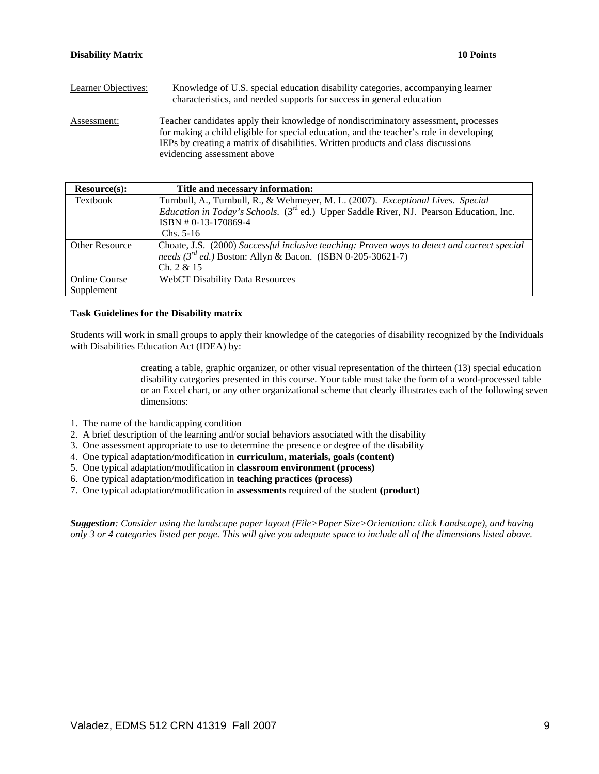| Learner Objectives: | Knowledge of U.S. special education disability categories, accompanying learner<br>characteristics, and needed supports for success in general education                                                                                                                                           |
|---------------------|----------------------------------------------------------------------------------------------------------------------------------------------------------------------------------------------------------------------------------------------------------------------------------------------------|
| Assessment:         | Teacher candidates apply their knowledge of nondiscriminatory assessment, processes<br>for making a child eligible for special education, and the teacher's role in developing<br>IEPs by creating a matrix of disabilities. Written products and class discussions<br>evidencing assessment above |

| Resource(s):          | Title and necessary information:                                                                    |
|-----------------------|-----------------------------------------------------------------------------------------------------|
| Textbook              | Turnbull, A., Turnbull, R., & Wehmeyer, M. L. (2007). Exceptional Lives. Special                    |
|                       | Education in Today's Schools. (3 <sup>rd</sup> ed.) Upper Saddle River, NJ. Pearson Education, Inc. |
|                       | ISBN #0-13-170869-4                                                                                 |
|                       | $Chs. 5-16$                                                                                         |
| <b>Other Resource</b> | Choate, J.S. (2000) Successful inclusive teaching: Proven ways to detect and correct special        |
|                       | needs ( $3^{rd}$ ed.) Boston: Allyn & Bacon. (ISBN 0-205-30621-7)                                   |
|                       | Ch. 2 & 15                                                                                          |
| <b>Online Course</b>  | <b>WebCT Disability Data Resources</b>                                                              |
| Supplement            |                                                                                                     |

# **Task Guidelines for the Disability matrix**

Students will work in small groups to apply their knowledge of the categories of disability recognized by the Individuals with Disabilities Education Act (IDEA) by:

> creating a table, graphic organizer, or other visual representation of the thirteen (13) special education disability categories presented in this course. Your table must take the form of a word-processed table or an Excel chart, or any other organizational scheme that clearly illustrates each of the following seven dimensions:

- 1. The name of the handicapping condition
- 2. A brief description of the learning and/or social behaviors associated with the disability
- 3. One assessment appropriate to use to determine the presence or degree of the disability
- 4. One typical adaptation/modification in **curriculum, materials, goals (content)**
- 5. One typical adaptation/modification in **classroom environment (process)**
- 6. One typical adaptation/modification in **teaching practices (process)**
- 7. One typical adaptation/modification in **assessments** required of the student **(product)**

*Suggestion: Consider using the landscape paper layout (File>Paper Size>Orientation: click Landscape), and having only 3 or 4 categories listed per page. This will give you adequate space to include all of the dimensions listed above.*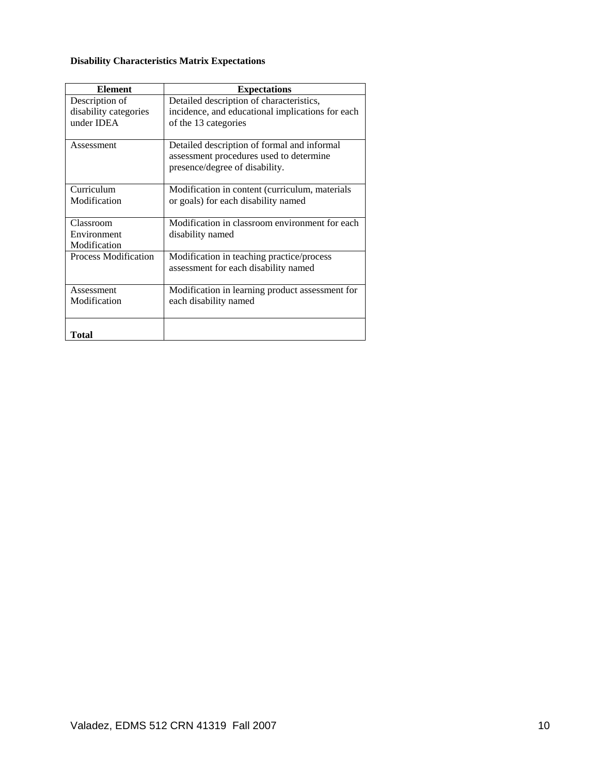# **Disability Characteristics Matrix Expectations**

| <b>Element</b>              | <b>Expectations</b>                                                                    |
|-----------------------------|----------------------------------------------------------------------------------------|
| Description of              | Detailed description of characteristics,                                               |
| disability categories       | incidence, and educational implications for each                                       |
| under IDEA                  | of the 13 categories                                                                   |
| Assessment                  | Detailed description of formal and informal<br>assessment procedures used to determine |
|                             | presence/degree of disability.                                                         |
| Curriculum                  | Modification in content (curriculum, materials                                         |
| Modification                | or goals) for each disability named                                                    |
| Classroom                   | Modification in classroom environment for each                                         |
| Environment                 | disability named                                                                       |
| Modification                |                                                                                        |
| <b>Process Modification</b> | Modification in teaching practice/process                                              |
|                             | assessment for each disability named                                                   |
| Assessment                  | Modification in learning product assessment for                                        |
| Modification                | each disability named                                                                  |
| Total                       |                                                                                        |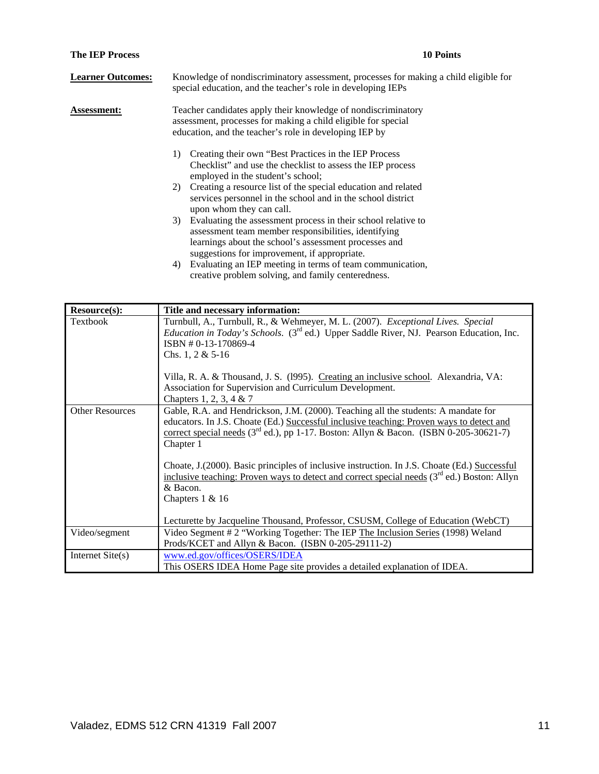| <b>The IEP Process</b>   | <b>10 Points</b>                                                                                                                                                                                                                  |
|--------------------------|-----------------------------------------------------------------------------------------------------------------------------------------------------------------------------------------------------------------------------------|
| <b>Learner Outcomes:</b> | Knowledge of nondiscriminatory assessment, processes for making a child eligible for<br>special education, and the teacher's role in developing IEPs                                                                              |
| <b>Assessment:</b>       | Teacher candidates apply their knowledge of nondiscriminatory<br>assessment, processes for making a child eligible for special<br>education, and the teacher's role in developing IEP by                                          |
|                          | Creating their own "Best Practices in the IEP Process"<br>1)<br>Checklist" and use the checklist to assess the IEP process<br>employed in the student's school;                                                                   |
|                          | Creating a resource list of the special education and related<br>2)<br>services personnel in the school and in the school district<br>upon whom they can call.                                                                    |
|                          | 3) Evaluating the assessment process in their school relative to<br>assessment team member responsibilities, identifying<br>learnings about the school's assessment processes and<br>suggestions for improvement, if appropriate. |
|                          | Evaluating an IEP meeting in terms of team communication,<br>4)<br>creative problem solving, and family centeredness.                                                                                                             |

| Resource(s):           | Title and necessary information:                                                                                                                                                                                                                                                                                                                                                                                          |
|------------------------|---------------------------------------------------------------------------------------------------------------------------------------------------------------------------------------------------------------------------------------------------------------------------------------------------------------------------------------------------------------------------------------------------------------------------|
| Textbook               | Turnbull, A., Turnbull, R., & Wehmeyer, M. L. (2007). Exceptional Lives. Special<br><i>Education in Today's Schools.</i> (3 <sup>rd</sup> ed.) Upper Saddle River, NJ. Pearson Education, Inc.<br>ISBN #0-13-170869-4<br>Chs. 1, 2 & $5-16$<br>Villa, R. A. & Thousand, J. S. (1995). Creating an inclusive school. Alexandria, VA:<br>Association for Supervision and Curriculum Development.<br>Chapters 1, 2, 3, 4 & 7 |
| <b>Other Resources</b> | Gable, R.A. and Hendrickson, J.M. (2000). Teaching all the students: A mandate for<br>educators. In J.S. Choate (Ed.) Successful inclusive teaching: Proven ways to detect and<br>correct special needs ( $3rd$ ed.), pp 1-17. Boston: Allyn & Bacon. (ISBN 0-205-30621-7)<br>Chapter 1                                                                                                                                   |
|                        | Choate, J. (2000). Basic principles of inclusive instruction. In J.S. Choate (Ed.) Successful<br>inclusive teaching: Proven ways to detect and correct special needs $(3rd$ ed.) Boston: Allyn<br>& Bacon.<br>Chapters $1 & 16$<br>Lecturette by Jacqueline Thousand, Professor, CSUSM, College of Education (WebCT)                                                                                                      |
| Video/segment          | Video Segment # 2 "Working Together: The IEP The Inclusion Series (1998) Weland                                                                                                                                                                                                                                                                                                                                           |
|                        | Prods/KCET and Allyn & Bacon. (ISBN 0-205-29111-2)                                                                                                                                                                                                                                                                                                                                                                        |
| Internet Site(s)       | www.ed.gov/offices/OSERS/IDEA<br>This OSERS IDEA Home Page site provides a detailed explanation of IDEA.                                                                                                                                                                                                                                                                                                                  |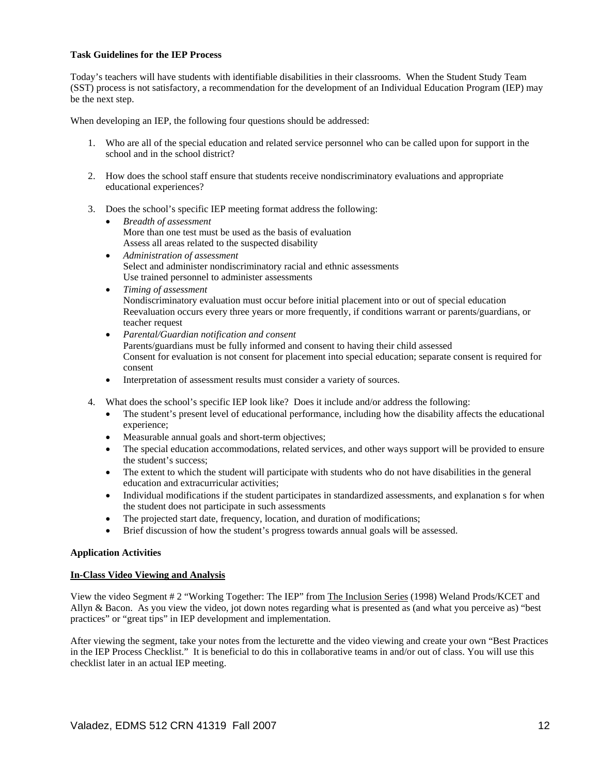## **Task Guidelines for the IEP Process**

Today's teachers will have students with identifiable disabilities in their classrooms. When the Student Study Team (SST) process is not satisfactory, a recommendation for the development of an Individual Education Program (IEP) may be the next step.

When developing an IEP, the following four questions should be addressed:

- 1. Who are all of the special education and related service personnel who can be called upon for support in the school and in the school district?
- 2. How does the school staff ensure that students receive nondiscriminatory evaluations and appropriate educational experiences?
- 3. Does the school's specific IEP meeting format address the following:
	- *Breadth of assessment*  More than one test must be used as the basis of evaluation Assess all areas related to the suspected disability
	- *Administration of assessment*  Select and administer nondiscriminatory racial and ethnic assessments Use trained personnel to administer assessments
	- *Timing of assessment*  Nondiscriminatory evaluation must occur before initial placement into or out of special education Reevaluation occurs every three years or more frequently, if conditions warrant or parents/guardians, or teacher request
	- *Parental/Guardian notification and consent*  Parents/guardians must be fully informed and consent to having their child assessed Consent for evaluation is not consent for placement into special education; separate consent is required for consent
	- Interpretation of assessment results must consider a variety of sources.
- 4. What does the school's specific IEP look like? Does it include and/or address the following:
	- The student's present level of educational performance, including how the disability affects the educational experience;
	- Measurable annual goals and short-term objectives;
	- The special education accommodations, related services, and other ways support will be provided to ensure the student's success;
	- The extent to which the student will participate with students who do not have disabilities in the general education and extracurricular activities;
	- Individual modifications if the student participates in standardized assessments, and explanation s for when the student does not participate in such assessments
	- The projected start date, frequency, location, and duration of modifications;
	- Brief discussion of how the student's progress towards annual goals will be assessed.

### **Application Activities**

### **In-Class Video Viewing and Analysis**

View the video Segment # 2 "Working Together: The IEP" from The Inclusion Series (1998) Weland Prods/KCET and Allyn & Bacon. As you view the video, jot down notes regarding what is presented as (and what you perceive as) "best practices" or "great tips" in IEP development and implementation.

After viewing the segment, take your notes from the lecturette and the video viewing and create your own "Best Practices in the IEP Process Checklist." It is beneficial to do this in collaborative teams in and/or out of class. You will use this checklist later in an actual IEP meeting.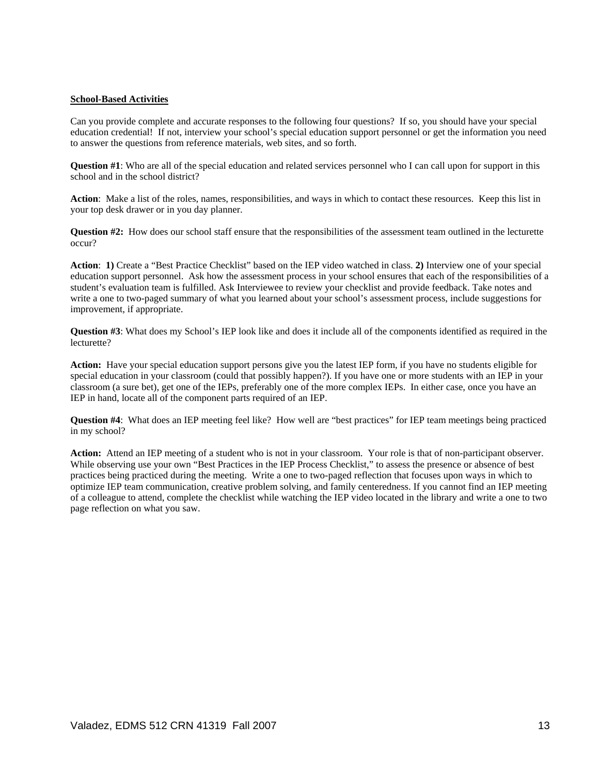## **School-Based Activities**

Can you provide complete and accurate responses to the following four questions? If so, you should have your special education credential! If not, interview your school's special education support personnel or get the information you need to answer the questions from reference materials, web sites, and so forth.

**Question #1**: Who are all of the special education and related services personnel who I can call upon for support in this school and in the school district?

**Action**: Make a list of the roles, names, responsibilities, and ways in which to contact these resources. Keep this list in your top desk drawer or in you day planner.

**Question #2:** How does our school staff ensure that the responsibilities of the assessment team outlined in the lecturette occur?

**Action**: **1)** Create a "Best Practice Checklist" based on the IEP video watched in class. **2)** Interview one of your special education support personnel. Ask how the assessment process in your school ensures that each of the responsibilities of a student's evaluation team is fulfilled. Ask Interviewee to review your checklist and provide feedback. Take notes and write a one to two-paged summary of what you learned about your school's assessment process, include suggestions for improvement, if appropriate.

**Question #3**: What does my School's IEP look like and does it include all of the components identified as required in the lecturette?

**Action:** Have your special education support persons give you the latest IEP form, if you have no students eligible for special education in your classroom (could that possibly happen?). If you have one or more students with an IEP in your classroom (a sure bet), get one of the IEPs, preferably one of the more complex IEPs. In either case, once you have an IEP in hand, locate all of the component parts required of an IEP.

**Question #4**: What does an IEP meeting feel like? How well are "best practices" for IEP team meetings being practiced in my school?

**Action:** Attend an IEP meeting of a student who is not in your classroom. Your role is that of non-participant observer. While observing use your own "Best Practices in the IEP Process Checklist," to assess the presence or absence of best practices being practiced during the meeting. Write a one to two-paged reflection that focuses upon ways in which to optimize IEP team communication, creative problem solving, and family centeredness. If you cannot find an IEP meeting of a colleague to attend, complete the checklist while watching the IEP video located in the library and write a one to two page reflection on what you saw.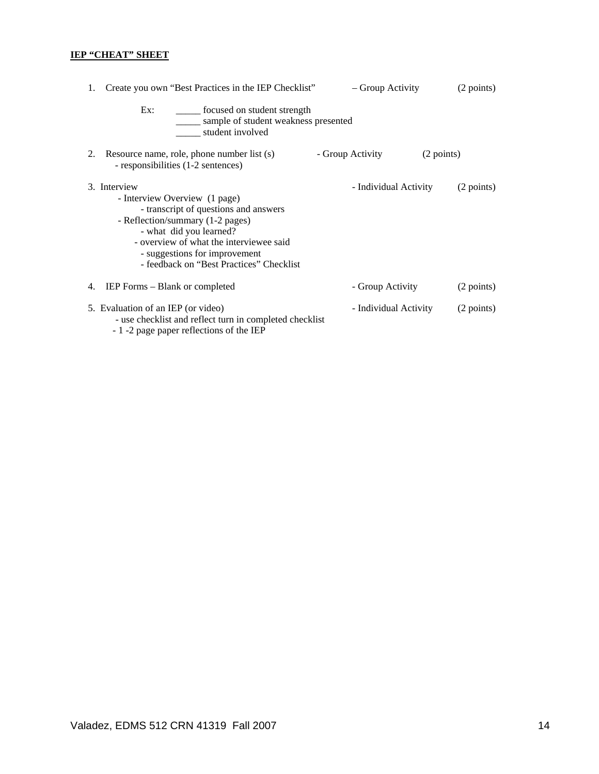# **IEP "CHEAT" SHEET**

| Create you own "Best Practices in the IEP Checklist"<br>1.                                                                                                                                                                                                                    | – Group Activity               | (2 points) |
|-------------------------------------------------------------------------------------------------------------------------------------------------------------------------------------------------------------------------------------------------------------------------------|--------------------------------|------------|
| ______ focused on student strength<br>Ex:<br>sample of student weakness presented<br>student involved                                                                                                                                                                         |                                |            |
| Resource name, role, phone number list (s)<br>2.<br>- responsibilities (1-2 sentences)                                                                                                                                                                                        | - Group Activity<br>(2 points) |            |
| 3. Interview<br>- Interview Overview (1 page)<br>- transcript of questions and answers<br>- Reflection/summary (1-2 pages)<br>- what did you learned?<br>- overview of what the interviewee said<br>- suggestions for improvement<br>- feedback on "Best Practices" Checklist | - Individual Activity          | (2 points) |
| IEP Forms – Blank or completed<br>4.                                                                                                                                                                                                                                          | - Group Activity               | (2 points) |
| 5. Evaluation of an IEP (or video)<br>- use checklist and reflect turn in completed checklist<br>- 1 -2 page paper reflections of the IEP                                                                                                                                     | - Individual Activity          | (2 points) |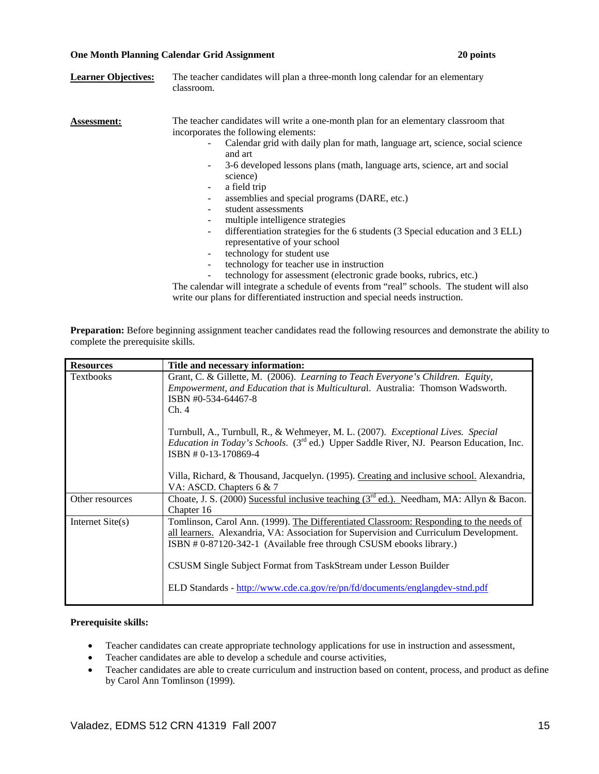### **One Month Planning Calendar Grid Assignment 20 points**

| <b>Learner Objectives:</b> | The teacher candidates will plan a three-month long calendar for an elementary<br>classroom.                                                                                                                                                                                                                                                                                                                                                                                                                                                                                                                                                                                                                                                                                                           |
|----------------------------|--------------------------------------------------------------------------------------------------------------------------------------------------------------------------------------------------------------------------------------------------------------------------------------------------------------------------------------------------------------------------------------------------------------------------------------------------------------------------------------------------------------------------------------------------------------------------------------------------------------------------------------------------------------------------------------------------------------------------------------------------------------------------------------------------------|
| Assessment:                | The teacher candidates will write a one-month plan for an elementary classroom that<br>incorporates the following elements:<br>Calendar grid with daily plan for math, language art, science, social science<br>and art<br>3-6 developed lessons plans (math, language arts, science, art and social<br>$\overline{\phantom{a}}$<br>science)<br>a field trip<br>۰<br>assemblies and special programs (DARE, etc.)<br>student assessments<br>multiple intelligence strategies<br>differentiation strategies for the 6 students (3 Special education and 3 ELL)<br>$\overline{\phantom{a}}$<br>representative of your school<br>technology for student use<br>$\overline{\phantom{a}}$<br>technology for teacher use in instruction<br>technology for assessment (electronic grade books, rubrics, etc.) |
|                            | The calendar will integrate a schedule of events from "real" schools. The student will also                                                                                                                                                                                                                                                                                                                                                                                                                                                                                                                                                                                                                                                                                                            |

write our plans for differentiated instruction and special needs instruction.

**Preparation:** Before beginning assignment teacher candidates read the following resources and demonstrate the ability to complete the prerequisite skills.

| <b>Resources</b>   | Title and necessary information:                                                                                                                                                                                                                                                                                                                                                                          |
|--------------------|-----------------------------------------------------------------------------------------------------------------------------------------------------------------------------------------------------------------------------------------------------------------------------------------------------------------------------------------------------------------------------------------------------------|
| <b>Textbooks</b>   | Grant, C. & Gillette, M. (2006). Learning to Teach Everyone's Children. Equity,<br><i>Empowerment, and Education that is Multicultural. Australia: Thomson Wadsworth.</i><br>ISBN #0-534-64467-8<br>Ch.4                                                                                                                                                                                                  |
|                    | Turnbull, A., Turnbull, R., & Wehmeyer, M. L. (2007). <i>Exceptional Lives.</i> Special<br><i>Education in Today's Schools.</i> (3 <sup>rd</sup> ed.) Upper Saddle River, NJ. Pearson Education, Inc.<br>ISBN #0-13-170869-4                                                                                                                                                                              |
|                    | Villa, Richard, & Thousand, Jacquelyn. (1995). Creating and inclusive school. Alexandria,<br>VA: ASCD. Chapters 6 & 7                                                                                                                                                                                                                                                                                     |
| Other resources    | Choate, J. S. (2000) Sucessful inclusive teaching (3 <sup>rd</sup> ed.). Needham, MA: Allyn & Bacon.<br>Chapter 16                                                                                                                                                                                                                                                                                        |
| Internet $Site(s)$ | Tomlinson, Carol Ann. (1999). The Differentiated Classroom: Responding to the needs of<br>all learners. Alexandria, VA: Association for Supervision and Curriculum Development.<br>ISBN #0-87120-342-1 (Available free through CSUSM ebooks library.)<br>CSUSM Single Subject Format from TaskStream under Lesson Builder<br>ELD Standards - http://www.cde.ca.gov/re/pn/fd/documents/englangdev-stnd.pdf |

# **Prerequisite skills:**

- Teacher candidates can create appropriate technology applications for use in instruction and assessment,
- Teacher candidates are able to develop a schedule and course activities,
- Teacher candidates are able to create curriculum and instruction based on content, process, and product as define by Carol Ann Tomlinson (1999).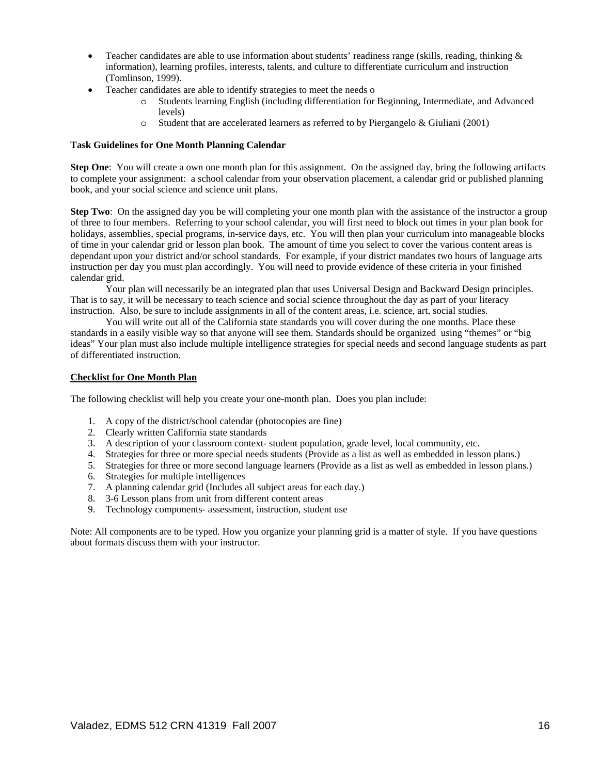- Teacher candidates are able to use information about students' readiness range (skills, reading, thinking & information), learning profiles, interests, talents, and culture to differentiate curriculum and instruction (Tomlinson, 1999).
- Teacher candidates are able to identify strategies to meet the needs o
	- o Students learning English (including differentiation for Beginning, Intermediate, and Advanced levels)
	- o Student that are accelerated learners as referred to by Piergangelo & Giuliani (2001)

# **Task Guidelines for One Month Planning Calendar**

**Step One**: You will create a own one month plan for this assignment. On the assigned day, bring the following artifacts to complete your assignment: a school calendar from your observation placement, a calendar grid or published planning book, and your social science and science unit plans.

**Step Two**: On the assigned day you be will completing your one month plan with the assistance of the instructor a group of three to four members. Referring to your school calendar, you will first need to block out times in your plan book for holidays, assemblies, special programs, in-service days, etc. You will then plan your curriculum into manageable blocks of time in your calendar grid or lesson plan book. The amount of time you select to cover the various content areas is dependant upon your district and/or school standards. For example, if your district mandates two hours of language arts instruction per day you must plan accordingly. You will need to provide evidence of these criteria in your finished calendar grid.

 Your plan will necessarily be an integrated plan that uses Universal Design and Backward Design principles. That is to say, it will be necessary to teach science and social science throughout the day as part of your literacy instruction. Also, be sure to include assignments in all of the content areas, i.e. science, art, social studies.

 You will write out all of the California state standards you will cover during the one months. Place these standards in a easily visible way so that anyone will see them. Standards should be organized using "themes" or "big ideas" Your plan must also include multiple intelligence strategies for special needs and second language students as part of differentiated instruction.

### **Checklist for One Month Plan**

The following checklist will help you create your one-month plan. Does you plan include:

- 1. A copy of the district/school calendar (photocopies are fine)
- 2. Clearly written California state standards
- 3. A description of your classroom context- student population, grade level, local community, etc.
- 4. Strategies for three or more special needs students (Provide as a list as well as embedded in lesson plans.)
- 5. Strategies for three or more second language learners (Provide as a list as well as embedded in lesson plans.)
- 6. Strategies for multiple intelligences
- 7. A planning calendar grid (Includes all subject areas for each day.)
- 8. 3-6 Lesson plans from unit from different content areas
- 9. Technology components- assessment, instruction, student use

Note: All components are to be typed. How you organize your planning grid is a matter of style. If you have questions about formats discuss them with your instructor.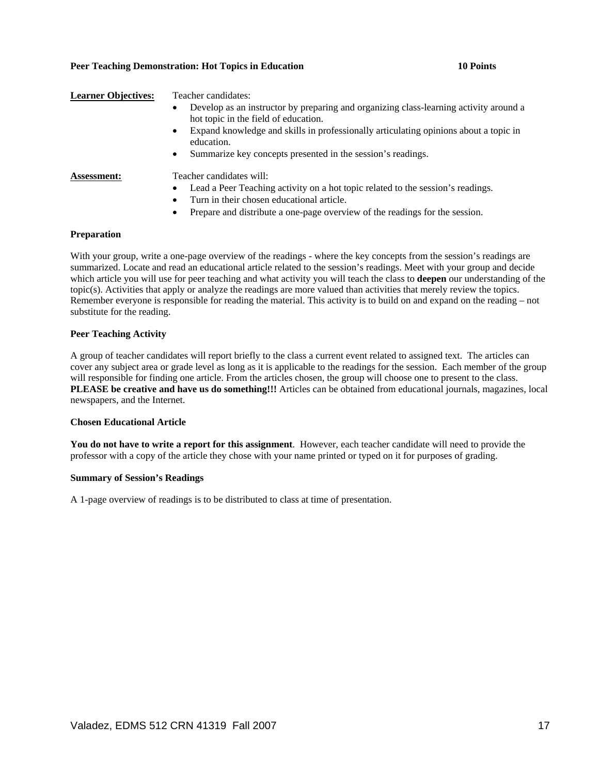### **Peer Teaching Demonstration: Hot Topics in Education 10 Points 10 Points**

# **Learner Objectives:** Teacher candidates: • Develop as an instructor by preparing and organizing class-learning activity around a hot topic in the field of education. • Expand knowledge and skills in professionally articulating opinions about a topic in education. Summarize key concepts presented in the session's readings. **Assessment:** Teacher candidates will:

- Lead a Peer Teaching activity on a hot topic related to the session's readings.
- Turn in their chosen educational article.
- Prepare and distribute a one-page overview of the readings for the session.

### **Preparation**

With your group, write a one-page overview of the readings - where the key concepts from the session's readings are summarized. Locate and read an educational article related to the session's readings. Meet with your group and decide which article you will use for peer teaching and what activity you will teach the class to **deepen** our understanding of the topic(s). Activities that apply or analyze the readings are more valued than activities that merely review the topics. Remember everyone is responsible for reading the material. This activity is to build on and expand on the reading – not substitute for the reading.

### **Peer Teaching Activity**

A group of teacher candidates will report briefly to the class a current event related to assigned text. The articles can cover any subject area or grade level as long as it is applicable to the readings for the session. Each member of the group will responsible for finding one article. From the articles chosen, the group will choose one to present to the class. **PLEASE be creative and have us do something!!!** Articles can be obtained from educational journals, magazines, local newspapers, and the Internet.

### **Chosen Educational Article**

**You do not have to write a report for this assignment**. However, each teacher candidate will need to provide the professor with a copy of the article they chose with your name printed or typed on it for purposes of grading.

### **Summary of Session's Readings**

A 1-page overview of readings is to be distributed to class at time of presentation.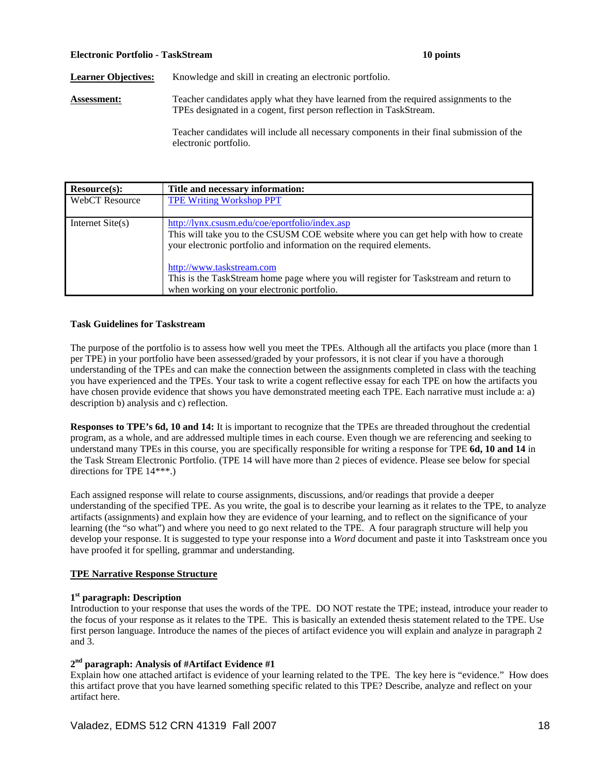### **Electronic Portfolio - TaskStream 10 points**

Learner Objectives: Knowledge and skill in creating an electronic portfolio.

**Assessment:** Teacher candidates apply what they have learned from the required assignments to the TPEs designated in a cogent, first person reflection in TaskStream.

> Teacher candidates will include all necessary components in their final submission of the electronic portfolio.

| Resource(s):          | Title and necessary information:                                                                                                                                                                                                                                                                                                     |
|-----------------------|--------------------------------------------------------------------------------------------------------------------------------------------------------------------------------------------------------------------------------------------------------------------------------------------------------------------------------------|
| <b>WebCT</b> Resource | <b>TPE Writing Workshop PPT</b>                                                                                                                                                                                                                                                                                                      |
| Internet $Site(s)$    | http://lynx.csusm.edu/coe/eportfolio/index.asp<br>This will take you to the CSUSM COE website where you can get help with how to create<br>your electronic portfolio and information on the required elements.<br>http://www.taskstream.com<br>This is the TaskStream home page where you will register for Taskstream and return to |
|                       | when working on your electronic portfolio.                                                                                                                                                                                                                                                                                           |

### **Task Guidelines for Taskstream**

The purpose of the portfolio is to assess how well you meet the TPEs. Although all the artifacts you place (more than 1 per TPE) in your portfolio have been assessed/graded by your professors, it is not clear if you have a thorough understanding of the TPEs and can make the connection between the assignments completed in class with the teaching you have experienced and the TPEs. Your task to write a cogent reflective essay for each TPE on how the artifacts you have chosen provide evidence that shows you have demonstrated meeting each TPE. Each narrative must include a: a) description b) analysis and c) reflection.

**Responses to TPE's 6d, 10 and 14:** It is important to recognize that the TPEs are threaded throughout the credential program, as a whole, and are addressed multiple times in each course. Even though we are referencing and seeking to understand many TPEs in this course, you are specifically responsible for writing a response for TPE **6d, 10 and 14** in the Task Stream Electronic Portfolio. (TPE 14 will have more than 2 pieces of evidence. Please see below for special directions for TPE 14\*\*\*.)

Each assigned response will relate to course assignments, discussions, and/or readings that provide a deeper understanding of the specified TPE. As you write, the goal is to describe your learning as it relates to the TPE, to analyze artifacts (assignments) and explain how they are evidence of your learning, and to reflect on the significance of your learning (the "so what") and where you need to go next related to the TPE. A four paragraph structure will help you develop your response. It is suggested to type your response into a *Word* document and paste it into Taskstream once you have proofed it for spelling, grammar and understanding.

# **TPE Narrative Response Structure**

# **1st paragraph: Description**

Introduction to your response that uses the words of the TPE. DO NOT restate the TPE; instead, introduce your reader to the focus of your response as it relates to the TPE. This is basically an extended thesis statement related to the TPE. Use first person language. Introduce the names of the pieces of artifact evidence you will explain and analyze in paragraph 2 and 3.

# **2nd paragraph: Analysis of #Artifact Evidence #1**

Explain how one attached artifact is evidence of your learning related to the TPE. The key here is "evidence." How does this artifact prove that you have learned something specific related to this TPE? Describe, analyze and reflect on your artifact here.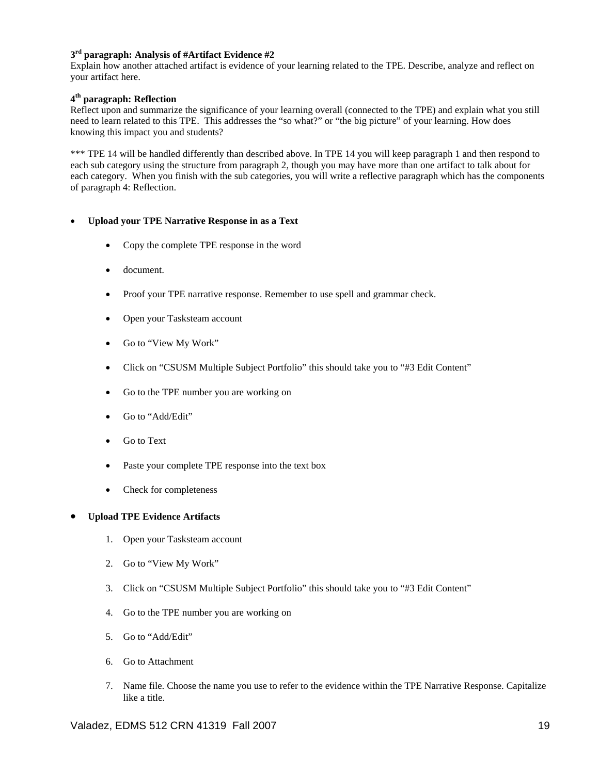# **3rd paragraph: Analysis of #Artifact Evidence #2**

Explain how another attached artifact is evidence of your learning related to the TPE. Describe, analyze and reflect on your artifact here.

# **4th paragraph: Reflection**

Reflect upon and summarize the significance of your learning overall (connected to the TPE) and explain what you still need to learn related to this TPE. This addresses the "so what?" or "the big picture" of your learning. How does knowing this impact you and students?

\*\*\* TPE 14 will be handled differently than described above. In TPE 14 you will keep paragraph 1 and then respond to each sub category using the structure from paragraph 2, though you may have more than one artifact to talk about for each category. When you finish with the sub categories, you will write a reflective paragraph which has the components of paragraph 4: Reflection.

# • **Upload your TPE Narrative Response in as a Text**

- Copy the complete TPE response in the word
- document.
- Proof your TPE narrative response. Remember to use spell and grammar check.
- Open your Tasksteam account
- Go to "View My Work"
- Click on "CSUSM Multiple Subject Portfolio" this should take you to "#3 Edit Content"
- Go to the TPE number you are working on
- Go to "Add/Edit"
- Go to Text
- Paste your complete TPE response into the text box
- Check for completeness

# • **Upload TPE Evidence Artifacts**

- 1. Open your Tasksteam account
- 2. Go to "View My Work"
- 3. Click on "CSUSM Multiple Subject Portfolio" this should take you to "#3 Edit Content"
- 4. Go to the TPE number you are working on
- 5. Go to "Add/Edit"
- 6. Go to Attachment
- 7. Name file. Choose the name you use to refer to the evidence within the TPE Narrative Response. Capitalize like a title.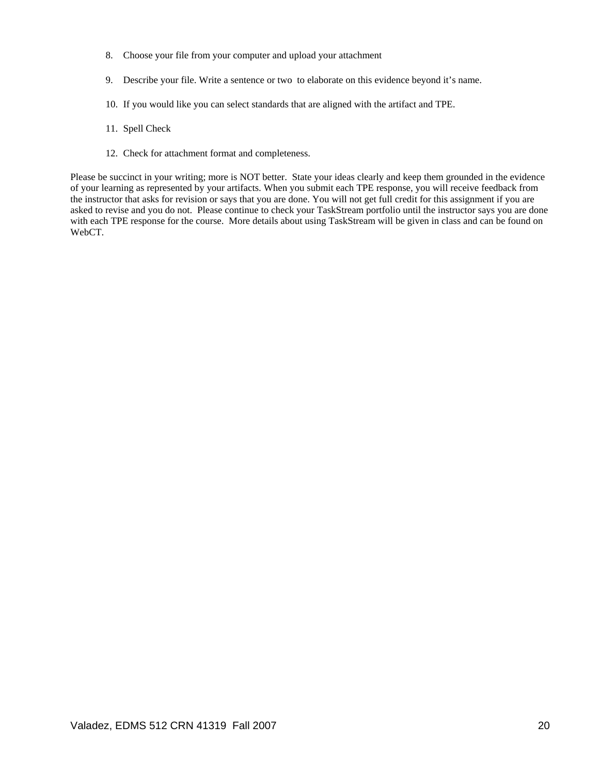- 8. Choose your file from your computer and upload your attachment
- 9. Describe your file. Write a sentence or two to elaborate on this evidence beyond it's name.
- 10. If you would like you can select standards that are aligned with the artifact and TPE.
- 11. Spell Check
- 12. Check for attachment format and completeness.

Please be succinct in your writing; more is NOT better. State your ideas clearly and keep them grounded in the evidence of your learning as represented by your artifacts. When you submit each TPE response, you will receive feedback from the instructor that asks for revision or says that you are done. You will not get full credit for this assignment if you are asked to revise and you do not. Please continue to check your TaskStream portfolio until the instructor says you are done with each TPE response for the course. More details about using TaskStream will be given in class and can be found on WebCT.